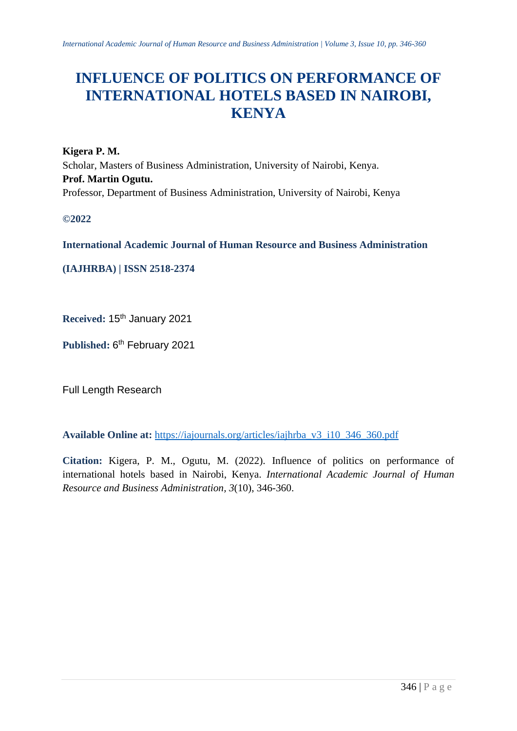# **INFLUENCE OF POLITICS ON PERFORMANCE OF INTERNATIONAL HOTELS BASED IN NAIROBI, KENYA**

**Kigera P. M.** Scholar, Masters of Business Administration, University of Nairobi, Kenya. **Prof. Martin Ogutu.** Professor, Department of Business Administration, University of Nairobi, Kenya

**©2022**

**International Academic Journal of Human Resource and Business Administration**

**(IAJHRBA) | ISSN 2518-2374**

**Received:** 15th January 2021

Published: 6<sup>th</sup> February 2021

Full Length Research

**Available Online at:** [https://iajournals.org/articles/iajhrba\\_v3\\_i10\\_346\\_360.pdf](https://iajournals.org/articles/iajhrba_v3_i10_346_360.pdf)

**Citation:** Kigera, P. M., Ogutu, M. (2022). Influence of politics on performance of international hotels based in Nairobi, Kenya. *International Academic Journal of Human Resource and Business Administration, 3*(10), 346-360.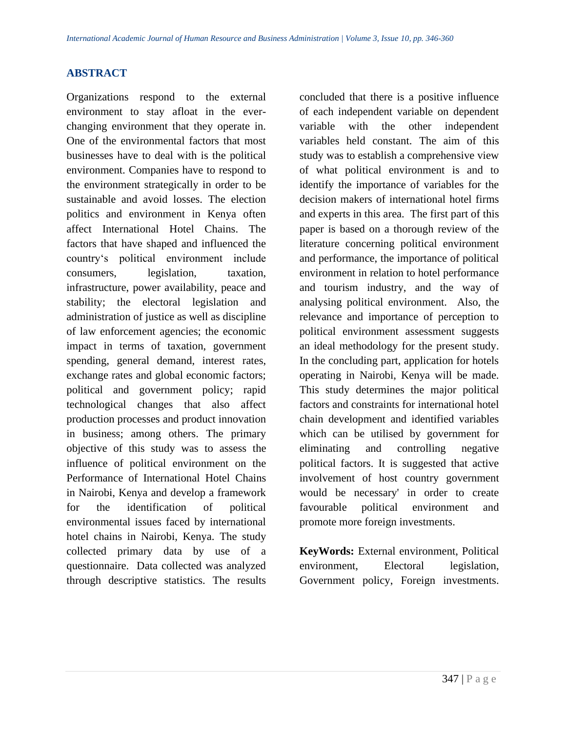# **ABSTRACT**

Organizations respond to the external environment to stay afloat in the everchanging environment that they operate in. One of the environmental factors that most businesses have to deal with is the political environment. Companies have to respond to the environment strategically in order to be sustainable and avoid losses. The election politics and environment in Kenya often affect International Hotel Chains. The factors that have shaped and influenced the country's political environment include consumers, legislation, taxation, infrastructure, power availability, peace and stability; the electoral legislation and administration of justice as well as discipline of law enforcement agencies; the economic impact in terms of taxation, government spending, general demand, interest rates, exchange rates and global economic factors; political and government policy; rapid technological changes that also affect production processes and product innovation in business; among others. The primary objective of this study was to assess the influence of political environment on the Performance of International Hotel Chains in Nairobi, Kenya and develop a framework for the identification of political environmental issues faced by international hotel chains in Nairobi, Kenya. The study collected primary data by use of a questionnaire. Data collected was analyzed through descriptive statistics. The results

concluded that there is a positive influence of each independent variable on dependent variable with the other independent variables held constant. The aim of this study was to establish a comprehensive view of what political environment is and to identify the importance of variables for the decision makers of international hotel firms and experts in this area. The first part of this paper is based on a thorough review of the literature concerning political environment and performance, the importance of political environment in relation to hotel performance and tourism industry, and the way of analysing political environment. Also, the relevance and importance of perception to political environment assessment suggests an ideal methodology for the present study. In the concluding part, application for hotels operating in Nairobi, Kenya will be made. This study determines the major political factors and constraints for international hotel chain development and identified variables which can be utilised by government for eliminating and controlling negative political factors. It is suggested that active involvement of host country government would be necessary' in order to create favourable political environment and promote more foreign investments.

**KeyWords:** External environment, Political environment, Electoral legislation, Government policy, Foreign investments.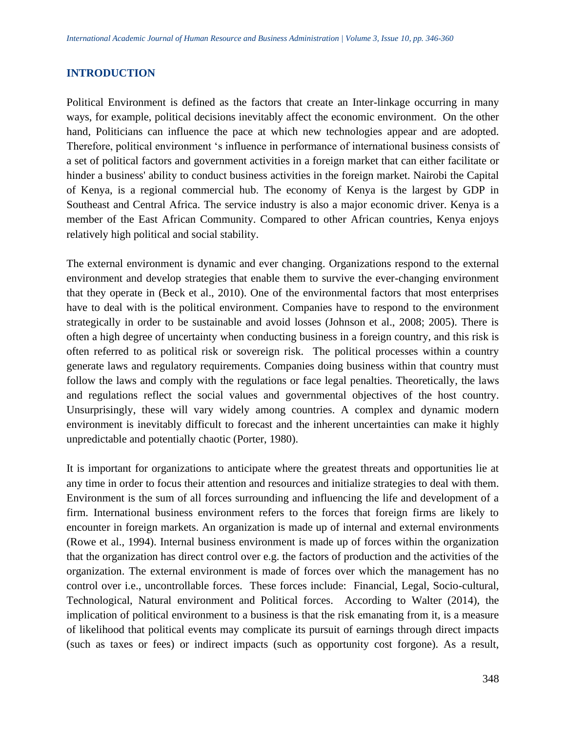## **INTRODUCTION**

Political Environment is defined as the factors that create an Inter-linkage occurring in many ways, for example, political decisions inevitably affect the economic environment. On the other hand, Politicians can influence the pace at which new technologies appear and are adopted. Therefore, political environment 's influence in performance of international business consists of a set of political factors and government activities in a foreign market that can either facilitate or hinder a business' ability to conduct business activities in the foreign market. Nairobi the Capital of Kenya, is a regional commercial hub. The economy of Kenya is the largest by GDP in Southeast and Central Africa. The service industry is also a major economic driver. Kenya is a member of the East African Community. Compared to other African countries, Kenya enjoys relatively high political and social stability.

The external environment is dynamic and ever changing. Organizations respond to the external environment and develop strategies that enable them to survive the ever-changing environment that they operate in (Beck et al., 2010). One of the environmental factors that most enterprises have to deal with is the political environment. Companies have to respond to the environment strategically in order to be sustainable and avoid losses (Johnson et al., 2008; 2005). There is often a high degree of uncertainty when conducting business in a foreign country, and this risk is often referred to as political risk or sovereign risk. The political processes within a country generate laws and regulatory requirements. Companies doing business within that country must follow the laws and comply with the regulations or face legal penalties. Theoretically, the laws and regulations reflect the social values and governmental objectives of the host country. Unsurprisingly, these will vary widely among countries. A complex and dynamic modern environment is inevitably difficult to forecast and the inherent uncertainties can make it highly unpredictable and potentially chaotic (Porter, 1980).

It is important for organizations to anticipate where the greatest threats and opportunities lie at any time in order to focus their attention and resources and initialize strategies to deal with them. Environment is the sum of all forces surrounding and influencing the life and development of a firm. International business environment refers to the forces that foreign firms are likely to encounter in foreign markets. An organization is made up of internal and external environments (Rowe et al., 1994). Internal business environment is made up of forces within the organization that the organization has direct control over e.g. the factors of production and the activities of the organization. The external environment is made of forces over which the management has no control over i.e., uncontrollable forces. These forces include: Financial, Legal, Socio-cultural, Technological, Natural environment and Political forces. According to Walter (2014), the implication of political environment to a business is that the risk emanating from it, is a measure of likelihood that political events may complicate its pursuit of earnings through direct impacts (such as taxes or fees) or indirect impacts (such as opportunity cost forgone). As a result,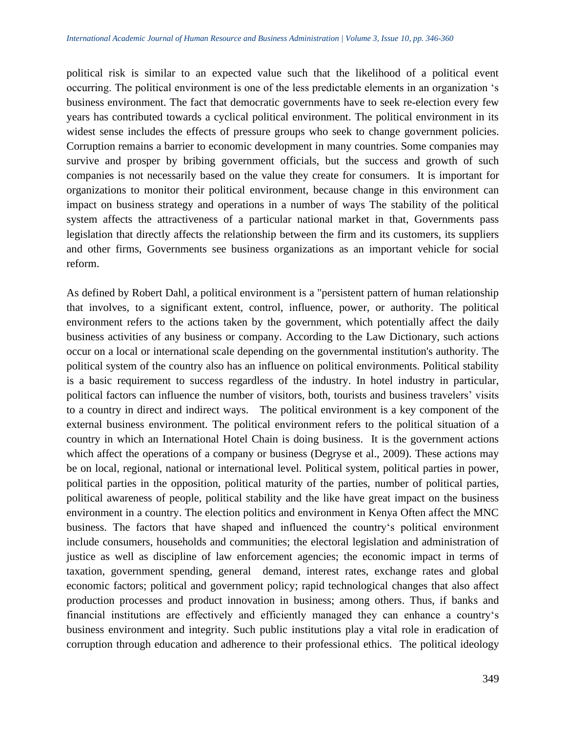political risk is similar to an expected value such that the likelihood of a political event occurring. The political environment is one of the less predictable elements in an organization 's business environment. The fact that democratic governments have to seek re-election every few years has contributed towards a cyclical political environment. The political environment in its widest sense includes the effects of pressure groups who seek to change government policies. Corruption remains a barrier to economic development in many countries. Some companies may survive and prosper by bribing government officials, but the success and growth of such companies is not necessarily based on the value they create for consumers. It is important for organizations to monitor their political environment, because change in this environment can impact on business strategy and operations in a number of ways The stability of the political system affects the attractiveness of a particular national market in that, Governments pass legislation that directly affects the relationship between the firm and its customers, its suppliers and other firms, Governments see business organizations as an important vehicle for social reform.

As defined by Robert Dahl, a political environment is a "persistent pattern of human relationship that involves, to a significant extent, control, influence, power, or authority. The political environment refers to the actions taken by the government, which potentially affect the daily business activities of any business or company. According to the Law Dictionary, such actions occur on a local or international scale depending on the governmental institution's authority. The political system of the country also has an influence on political environments. Political stability is a basic requirement to success regardless of the industry. In hotel industry in particular, political factors can influence the number of visitors, both, tourists and business travelers' visits to a country in direct and indirect ways.The political environment is a key component of the external business environment. The political environment refers to the political situation of a country in which an International Hotel Chain is doing business. It is the government actions which affect the operations of a company or business (Degryse et al., 2009). These actions may be on local, regional, national or international level. Political system, political parties in power, political parties in the opposition, political maturity of the parties, number of political parties, political awareness of people, political stability and the like have great impact on the business environment in a country. The election politics and environment in Kenya Often affect the MNC business. The factors that have shaped and influenced the country's political environment include consumers, households and communities; the electoral legislation and administration of justice as well as discipline of law enforcement agencies; the economic impact in terms of taxation, government spending, general demand, interest rates, exchange rates and global economic factors; political and government policy; rapid technological changes that also affect production processes and product innovation in business; among others. Thus, if banks and financial institutions are effectively and efficiently managed they can enhance a country's business environment and integrity. Such public institutions play a vital role in eradication of corruption through education and adherence to their professional ethics. The political ideology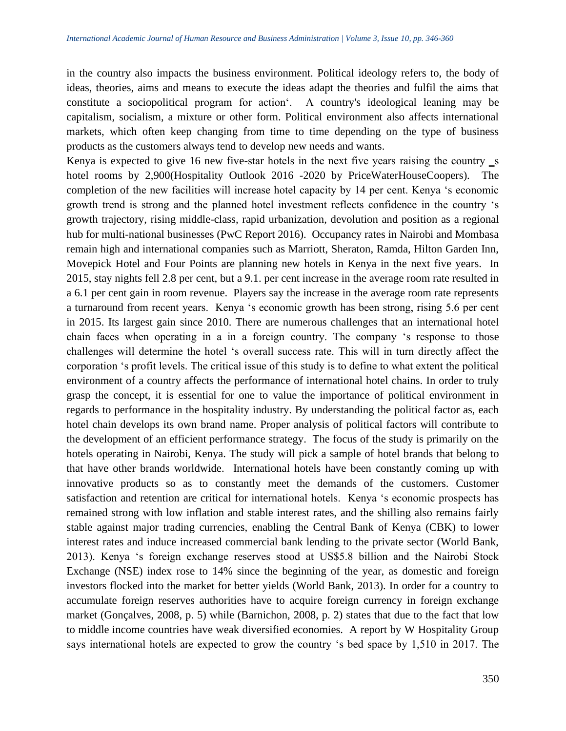in the country also impacts the business environment. Political ideology refers to, the body of ideas, theories, aims and means to execute the ideas adapt the theories and fulfil the aims that constitute a sociopolitical program for action'. A country's ideological leaning may be capitalism, socialism, a mixture or other form. Political environment also affects international markets, which often keep changing from time to time depending on the type of business products as the customers always tend to develop new needs and wants.

Kenya is expected to give 16 new five-star hotels in the next five years raising the country  $\mathsf{\_s}$ hotel rooms by 2,900(Hospitality Outlook 2016 -2020 by PriceWaterHouseCoopers). The completion of the new facilities will increase hotel capacity by 14 per cent. Kenya 's economic growth trend is strong and the planned hotel investment reflects confidence in the country 's growth trajectory, rising middle-class, rapid urbanization, devolution and position as a regional hub for multi-national businesses (PwC Report 2016). Occupancy rates in Nairobi and Mombasa remain high and international companies such as Marriott, Sheraton, Ramda, Hilton Garden Inn, Movepick Hotel and Four Points are planning new hotels in Kenya in the next five years. In 2015, stay nights fell 2.8 per cent, but a 9.1. per cent increase in the average room rate resulted in a 6.1 per cent gain in room revenue. Players say the increase in the average room rate represents a turnaround from recent years. Kenya 's economic growth has been strong, rising 5.6 per cent in 2015. Its largest gain since 2010. There are numerous challenges that an international hotel chain faces when operating in a in a foreign country. The company 's response to those challenges will determine the hotel 's overall success rate. This will in turn directly affect the corporation 's profit levels. The critical issue of this study is to define to what extent the political environment of a country affects the performance of international hotel chains. In order to truly grasp the concept, it is essential for one to value the importance of political environment in regards to performance in the hospitality industry. By understanding the political factor as, each hotel chain develops its own brand name. Proper analysis of political factors will contribute to the development of an efficient performance strategy. The focus of the study is primarily on the hotels operating in Nairobi, Kenya. The study will pick a sample of hotel brands that belong to that have other brands worldwide. International hotels have been constantly coming up with innovative products so as to constantly meet the demands of the customers. Customer satisfaction and retention are critical for international hotels. Kenya 's economic prospects has remained strong with low inflation and stable interest rates, and the shilling also remains fairly stable against major trading currencies, enabling the Central Bank of Kenya (CBK) to lower interest rates and induce increased commercial bank lending to the private sector (World Bank, 2013). Kenya 's foreign exchange reserves stood at US\$5.8 billion and the Nairobi Stock Exchange (NSE) index rose to 14% since the beginning of the year, as domestic and foreign investors flocked into the market for better yields (World Bank, 2013). In order for a country to accumulate foreign reserves authorities have to acquire foreign currency in foreign exchange market (Gonçalves, 2008, p. 5) while (Barnichon, 2008, p. 2) states that due to the fact that low to middle income countries have weak diversified economies. A report by W Hospitality Group says international hotels are expected to grow the country 's bed space by 1,510 in 2017. The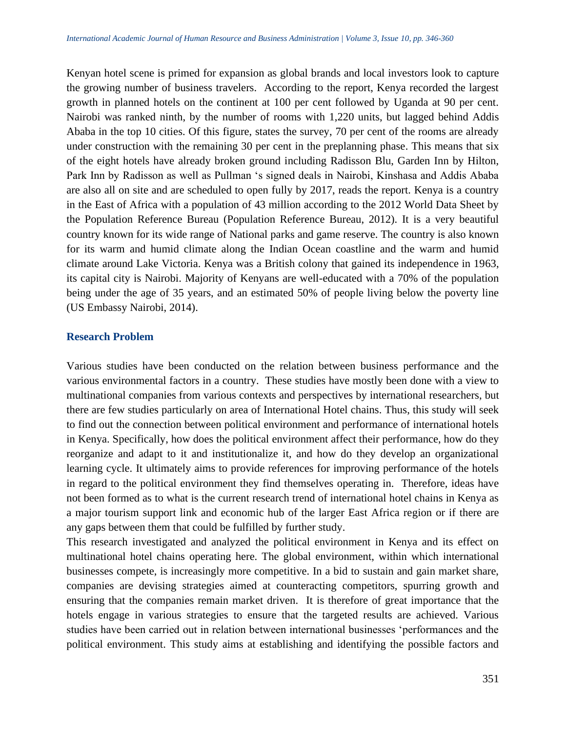Kenyan hotel scene is primed for expansion as global brands and local investors look to capture the growing number of business travelers. According to the report, Kenya recorded the largest growth in planned hotels on the continent at 100 per cent followed by Uganda at 90 per cent. Nairobi was ranked ninth, by the number of rooms with 1,220 units, but lagged behind Addis Ababa in the top 10 cities. Of this figure, states the survey, 70 per cent of the rooms are already under construction with the remaining 30 per cent in the preplanning phase. This means that six of the eight hotels have already broken ground including Radisson Blu, Garden Inn by Hilton, Park Inn by Radisson as well as Pullman 's signed deals in Nairobi, Kinshasa and Addis Ababa are also all on site and are scheduled to open fully by 2017, reads the report. Kenya is a country in the East of Africa with a population of 43 million according to the 2012 World Data Sheet by the Population Reference Bureau (Population Reference Bureau, 2012). It is a very beautiful country known for its wide range of National parks and game reserve. The country is also known for its warm and humid climate along the Indian Ocean coastline and the warm and humid climate around Lake Victoria. Kenya was a British colony that gained its independence in 1963, its capital city is Nairobi. Majority of Kenyans are well-educated with a 70% of the population being under the age of 35 years, and an estimated 50% of people living below the poverty line (US Embassy Nairobi, 2014).

## **Research Problem**

Various studies have been conducted on the relation between business performance and the various environmental factors in a country. These studies have mostly been done with a view to multinational companies from various contexts and perspectives by international researchers, but there are few studies particularly on area of International Hotel chains. Thus, this study will seek to find out the connection between political environment and performance of international hotels in Kenya. Specifically, how does the political environment affect their performance, how do they reorganize and adapt to it and institutionalize it, and how do they develop an organizational learning cycle. It ultimately aims to provide references for improving performance of the hotels in regard to the political environment they find themselves operating in. Therefore, ideas have not been formed as to what is the current research trend of international hotel chains in Kenya as a major tourism support link and economic hub of the larger East Africa region or if there are any gaps between them that could be fulfilled by further study.

This research investigated and analyzed the political environment in Kenya and its effect on multinational hotel chains operating here. The global environment, within which international businesses compete, is increasingly more competitive. In a bid to sustain and gain market share, companies are devising strategies aimed at counteracting competitors, spurring growth and ensuring that the companies remain market driven. It is therefore of great importance that the hotels engage in various strategies to ensure that the targeted results are achieved. Various studies have been carried out in relation between international businesses 'performances and the political environment. This study aims at establishing and identifying the possible factors and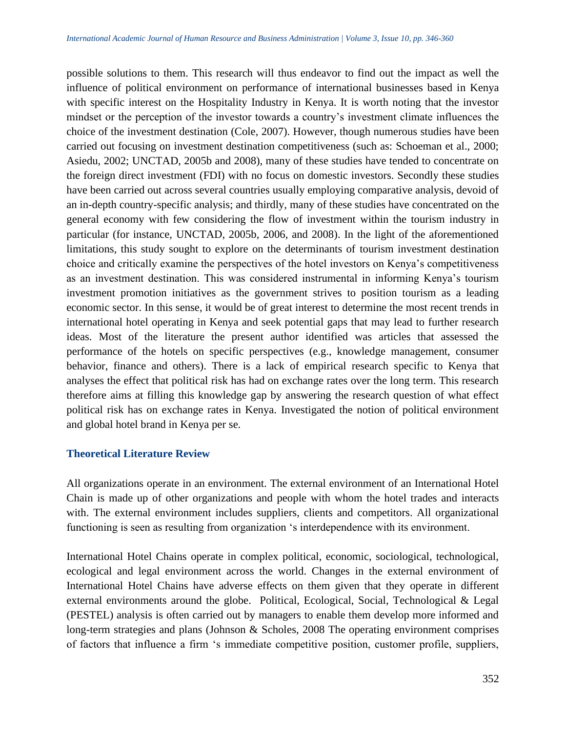possible solutions to them. This research will thus endeavor to find out the impact as well the influence of political environment on performance of international businesses based in Kenya with specific interest on the Hospitality Industry in Kenya. It is worth noting that the investor mindset or the perception of the investor towards a country's investment climate influences the choice of the investment destination (Cole, 2007). However, though numerous studies have been carried out focusing on investment destination competitiveness (such as: Schoeman et al., 2000; Asiedu, 2002; UNCTAD, 2005b and 2008), many of these studies have tended to concentrate on the foreign direct investment (FDI) with no focus on domestic investors. Secondly these studies have been carried out across several countries usually employing comparative analysis, devoid of an in-depth country-specific analysis; and thirdly, many of these studies have concentrated on the general economy with few considering the flow of investment within the tourism industry in particular (for instance, UNCTAD, 2005b, 2006, and 2008). In the light of the aforementioned limitations, this study sought to explore on the determinants of tourism investment destination choice and critically examine the perspectives of the hotel investors on Kenya's competitiveness as an investment destination. This was considered instrumental in informing Kenya's tourism investment promotion initiatives as the government strives to position tourism as a leading economic sector. In this sense, it would be of great interest to determine the most recent trends in international hotel operating in Kenya and seek potential gaps that may lead to further research ideas. Most of the literature the present author identified was articles that assessed the performance of the hotels on specific perspectives (e.g., knowledge management, consumer behavior, finance and others). There is a lack of empirical research specific to Kenya that analyses the effect that political risk has had on exchange rates over the long term. This research therefore aims at filling this knowledge gap by answering the research question of what effect political risk has on exchange rates in Kenya. Investigated the notion of political environment and global hotel brand in Kenya per se.

#### **Theoretical Literature Review**

All organizations operate in an environment. The external environment of an International Hotel Chain is made up of other organizations and people with whom the hotel trades and interacts with. The external environment includes suppliers, clients and competitors. All organizational functioning is seen as resulting from organization 's interdependence with its environment.

International Hotel Chains operate in complex political, economic, sociological, technological, ecological and legal environment across the world. Changes in the external environment of International Hotel Chains have adverse effects on them given that they operate in different external environments around the globe. Political, Ecological, Social, Technological & Legal (PESTEL) analysis is often carried out by managers to enable them develop more informed and long-term strategies and plans (Johnson & Scholes, 2008 The operating environment comprises of factors that influence a firm 's immediate competitive position, customer profile, suppliers,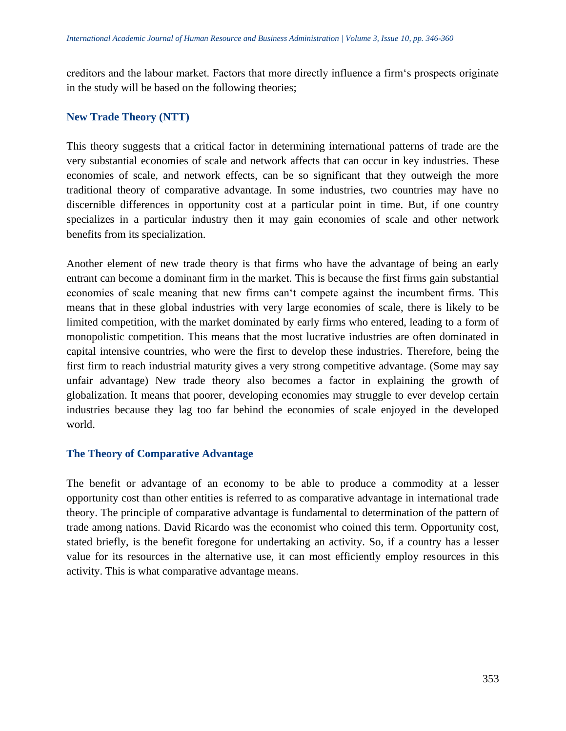creditors and the labour market. Factors that more directly influence a firm's prospects originate in the study will be based on the following theories;

# **New Trade Theory (NTT)**

This theory suggests that a critical factor in determining international patterns of trade are the very substantial economies of scale and network affects that can occur in key industries. These economies of scale, and network effects, can be so significant that they outweigh the more traditional theory of comparative advantage. In some industries, two countries may have no discernible differences in opportunity cost at a particular point in time. But, if one country specializes in a particular industry then it may gain economies of scale and other network benefits from its specialization.

Another element of new trade theory is that firms who have the advantage of being an early entrant can become a dominant firm in the market. This is because the first firms gain substantial economies of scale meaning that new firms can't compete against the incumbent firms. This means that in these global industries with very large economies of scale, there is likely to be limited competition, with the market dominated by early firms who entered, leading to a form of monopolistic competition. This means that the most lucrative industries are often dominated in capital intensive countries, who were the first to develop these industries. Therefore, being the first firm to reach industrial maturity gives a very strong competitive advantage. (Some may say unfair advantage) New trade theory also becomes a factor in explaining the growth of globalization. It means that poorer, developing economies may struggle to ever develop certain industries because they lag too far behind the economies of scale enjoyed in the developed world.

# **The Theory of Comparative Advantage**

The benefit or advantage of an economy to be able to produce a commodity at a lesser opportunity cost than other entities is referred to as comparative advantage in international trade theory. The principle of comparative advantage is fundamental to determination of the pattern of trade among nations. David Ricardo was the economist who coined this term. Opportunity cost, stated briefly, is the benefit foregone for undertaking an activity. So, if a country has a lesser value for its resources in the alternative use, it can most efficiently employ resources in this activity. This is what comparative advantage means.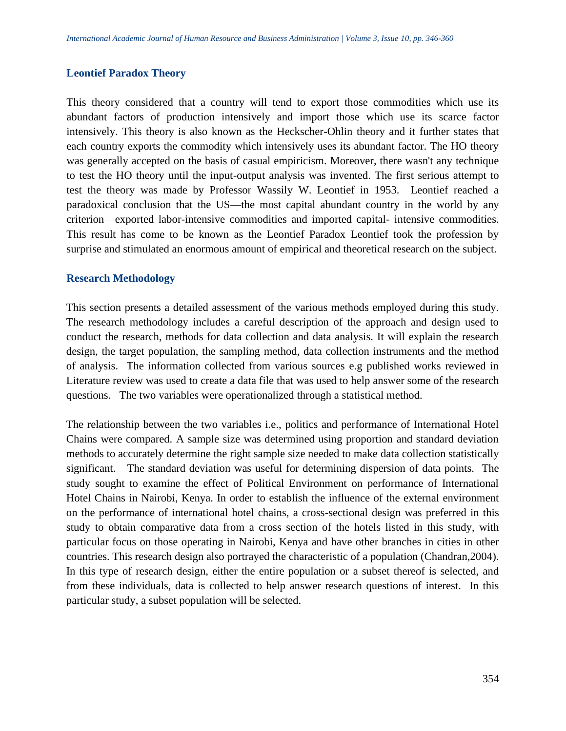#### **Leontief Paradox Theory**

This theory considered that a country will tend to export those commodities which use its abundant factors of production intensively and import those which use its scarce factor intensively. This theory is also known as the Heckscher-Ohlin theory and it further states that each country exports the commodity which intensively uses its abundant factor. The HO theory was generally accepted on the basis of casual empiricism. Moreover, there wasn't any technique to test the HO theory until the input-output analysis was invented. The first serious attempt to test the theory was made by Professor Wassily W. Leontief in 1953. Leontief reached a paradoxical conclusion that the US—the most capital abundant country in the world by any criterion—exported labor-intensive commodities and imported capital- intensive commodities. This result has come to be known as the Leontief Paradox Leontief took the profession by surprise and stimulated an enormous amount of empirical and theoretical research on the subject.

#### **Research Methodology**

This section presents a detailed assessment of the various methods employed during this study. The research methodology includes a careful description of the approach and design used to conduct the research, methods for data collection and data analysis. It will explain the research design, the target population, the sampling method, data collection instruments and the method of analysis. The information collected from various sources e.g published works reviewed in Literature review was used to create a data file that was used to help answer some of the research questions. The two variables were operationalized through a statistical method.

The relationship between the two variables i.e., politics and performance of International Hotel Chains were compared. A sample size was determined using proportion and standard deviation methods to accurately determine the right sample size needed to make data collection statistically significant. The standard deviation was useful for determining dispersion of data points. The study sought to examine the effect of Political Environment on performance of International Hotel Chains in Nairobi, Kenya. In order to establish the influence of the external environment on the performance of international hotel chains, a cross-sectional design was preferred in this study to obtain comparative data from a cross section of the hotels listed in this study, with particular focus on those operating in Nairobi, Kenya and have other branches in cities in other countries. This research design also portrayed the characteristic of a population (Chandran,2004). In this type of research design, either the entire population or a subset thereof is selected, and from these individuals, data is collected to help answer research questions of interest. In this particular study, a subset population will be selected.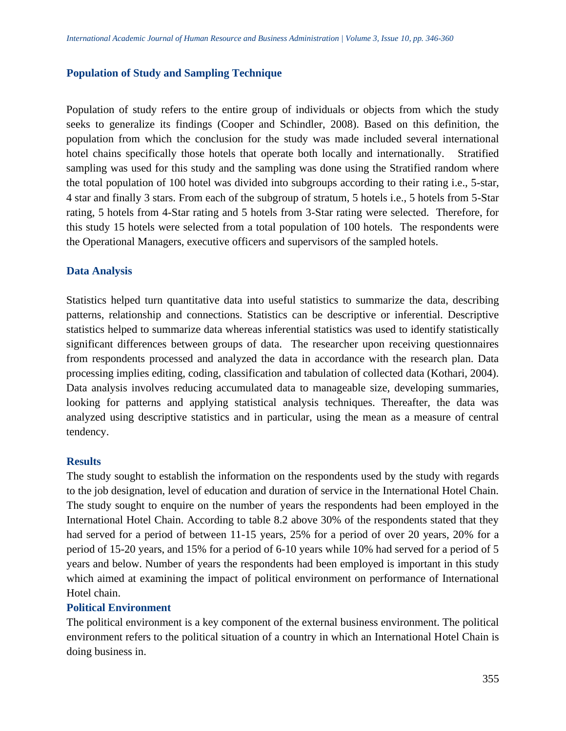#### **Population of Study and Sampling Technique**

Population of study refers to the entire group of individuals or objects from which the study seeks to generalize its findings (Cooper and Schindler, 2008). Based on this definition, the population from which the conclusion for the study was made included several international hotel chains specifically those hotels that operate both locally and internationally. Stratified sampling was used for this study and the sampling was done using the Stratified random where the total population of 100 hotel was divided into subgroups according to their rating i.e., 5-star, 4 star and finally 3 stars. From each of the subgroup of stratum, 5 hotels i.e., 5 hotels from 5-Star rating, 5 hotels from 4-Star rating and 5 hotels from 3-Star rating were selected. Therefore, for this study 15 hotels were selected from a total population of 100 hotels. The respondents were the Operational Managers, executive officers and supervisors of the sampled hotels.

## **Data Analysis**

Statistics helped turn quantitative data into useful statistics to summarize the data, describing patterns, relationship and connections. Statistics can be descriptive or inferential. Descriptive statistics helped to summarize data whereas inferential statistics was used to identify statistically significant differences between groups of data. The researcher upon receiving questionnaires from respondents processed and analyzed the data in accordance with the research plan. Data processing implies editing, coding, classification and tabulation of collected data (Kothari, 2004). Data analysis involves reducing accumulated data to manageable size, developing summaries, looking for patterns and applying statistical analysis techniques. Thereafter, the data was analyzed using descriptive statistics and in particular, using the mean as a measure of central tendency.

## **Results**

The study sought to establish the information on the respondents used by the study with regards to the job designation, level of education and duration of service in the International Hotel Chain. The study sought to enquire on the number of years the respondents had been employed in the International Hotel Chain. According to table 8.2 above 30% of the respondents stated that they had served for a period of between 11-15 years, 25% for a period of over 20 years, 20% for a period of 15-20 years, and 15% for a period of 6-10 years while 10% had served for a period of 5 years and below. Number of years the respondents had been employed is important in this study which aimed at examining the impact of political environment on performance of International Hotel chain.

## **Political Environment**

The political environment is a key component of the external business environment. The political environment refers to the political situation of a country in which an International Hotel Chain is doing business in.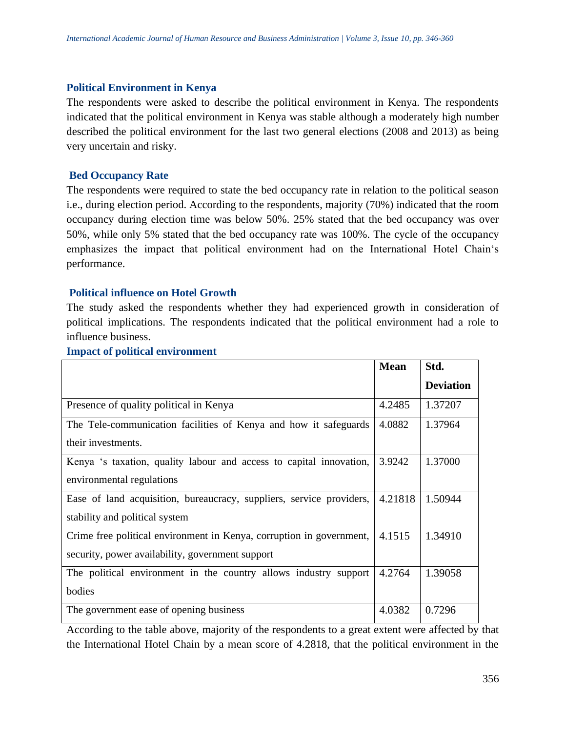#### **Political Environment in Kenya**

The respondents were asked to describe the political environment in Kenya. The respondents indicated that the political environment in Kenya was stable although a moderately high number described the political environment for the last two general elections (2008 and 2013) as being very uncertain and risky.

## **Bed Occupancy Rate**

The respondents were required to state the bed occupancy rate in relation to the political season i.e., during election period. According to the respondents, majority (70%) indicated that the room occupancy during election time was below 50%. 25% stated that the bed occupancy was over 50%, while only 5% stated that the bed occupancy rate was 100%. The cycle of the occupancy emphasizes the impact that political environment had on the International Hotel Chain's performance.

## **Political influence on Hotel Growth**

The study asked the respondents whether they had experienced growth in consideration of political implications. The respondents indicated that the political environment had a role to influence business.

#### **Impact of political environment**

|                                                                      | <b>Mean</b> | Std.             |
|----------------------------------------------------------------------|-------------|------------------|
|                                                                      |             | <b>Deviation</b> |
| Presence of quality political in Kenya                               | 4.2485      | 1.37207          |
| The Tele-communication facilities of Kenya and how it safeguards     | 4.0882      | 1.37964          |
| their investments.                                                   |             |                  |
| Kenya 's taxation, quality labour and access to capital innovation,  | 3.9242      | 1.37000          |
| environmental regulations                                            |             |                  |
| Ease of land acquisition, bureaucracy, suppliers, service providers, | 4.21818     | 1.50944          |
| stability and political system                                       |             |                  |
| Crime free political environment in Kenya, corruption in government, | 4.1515      | 1.34910          |
| security, power availability, government support                     |             |                  |
| The political environment in the country allows industry support     | 4.2764      | 1.39058          |
| bodies                                                               |             |                  |
| The government ease of opening business                              | 4.0382      | 0.7296           |

According to the table above, majority of the respondents to a great extent were affected by that the International Hotel Chain by a mean score of 4.2818, that the political environment in the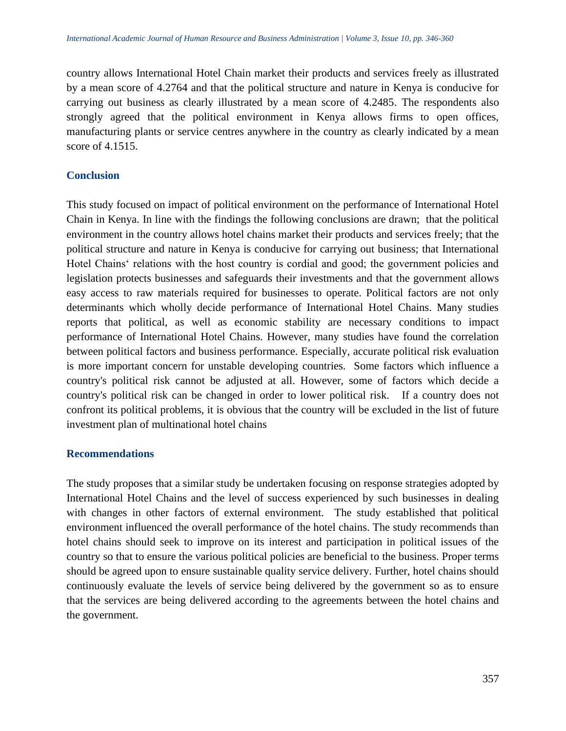country allows International Hotel Chain market their products and services freely as illustrated by a mean score of 4.2764 and that the political structure and nature in Kenya is conducive for carrying out business as clearly illustrated by a mean score of 4.2485. The respondents also strongly agreed that the political environment in Kenya allows firms to open offices, manufacturing plants or service centres anywhere in the country as clearly indicated by a mean score of 4.1515.

# **Conclusion**

This study focused on impact of political environment on the performance of International Hotel Chain in Kenya. In line with the findings the following conclusions are drawn; that the political environment in the country allows hotel chains market their products and services freely; that the political structure and nature in Kenya is conducive for carrying out business; that International Hotel Chains' relations with the host country is cordial and good; the government policies and legislation protects businesses and safeguards their investments and that the government allows easy access to raw materials required for businesses to operate. Political factors are not only determinants which wholly decide performance of International Hotel Chains. Many studies reports that political, as well as economic stability are necessary conditions to impact performance of International Hotel Chains. However, many studies have found the correlation between political factors and business performance. Especially, accurate political risk evaluation is more important concern for unstable developing countries. Some factors which influence a country's political risk cannot be adjusted at all. However, some of factors which decide a country's political risk can be changed in order to lower political risk. If a country does not confront its political problems, it is obvious that the country will be excluded in the list of future investment plan of multinational hotel chains

## **Recommendations**

The study proposes that a similar study be undertaken focusing on response strategies adopted by International Hotel Chains and the level of success experienced by such businesses in dealing with changes in other factors of external environment. The study established that political environment influenced the overall performance of the hotel chains. The study recommends than hotel chains should seek to improve on its interest and participation in political issues of the country so that to ensure the various political policies are beneficial to the business. Proper terms should be agreed upon to ensure sustainable quality service delivery. Further, hotel chains should continuously evaluate the levels of service being delivered by the government so as to ensure that the services are being delivered according to the agreements between the hotel chains and the government.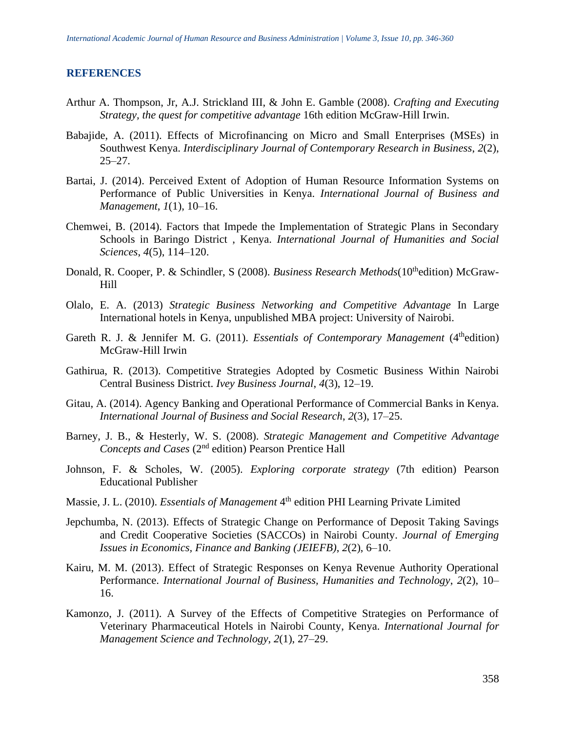#### **REFERENCES**

- Arthur A. Thompson, Jr, A.J. Strickland III, & John E. Gamble (2008). *Crafting and Executing Strategy, the quest for competitive advantage* 16th edition McGraw-Hill Irwin.
- Babajide, A. (2011). Effects of Microfinancing on Micro and Small Enterprises (MSEs) in Southwest Kenya. *Interdisciplinary Journal of Contemporary Research in Business*, *2*(2),  $25 - 27$ .
- Bartai, J. (2014). Perceived Extent of Adoption of Human Resource Information Systems on Performance of Public Universities in Kenya. *International Journal of Business and Management*, *1*(1), 10–16.
- Chemwei, B. (2014). Factors that Impede the Implementation of Strategic Plans in Secondary Schools in Baringo District , Kenya. *International Journal of Humanities and Social Sciences*, *4*(5), 114–120.
- Donald, [R. Cooper,](https://www.google.co.ke/search?tbo=p&tbm=bks&q=inauthor:%22Donald+R.+Cooper%22) P. [& Schindler,](https://www.google.co.ke/search?tbo=p&tbm=bks&q=inauthor:%22Pamela+S.+Schindler%22) S [\(](https://www.google.co.ke/search?tbo=p&tbm=bks&q=inauthor:%22Pamela+S.+Schindler%22)2008). *Business Research Methods*(10<sup>th</sup>edition) McGraw-Hill
- Olalo, E. A. (2013) *Strategic Business Networking and Competitive Advantage* In Large International hotels in Kenya, unpublished MBA project: University of Nairobi.
- Gareth R. J. & Jennifer M. G. (2011). *Essentials of Contemporary Management* (4<sup>th</sup>edition) McGraw-Hill Irwin
- Gathirua, R. (2013). Competitive Strategies Adopted by Cosmetic Business Within Nairobi Central Business District. *Ivey Business Journal*, *4*(3), 12–19.
- Gitau, A. (2014). Agency Banking and Operational Performance of Commercial Banks in Kenya. *International Journal of Business and Social Research*, *2*(3), 17–25.
- Barney, J. B., & Hesterly, W. S. (2008). *Strategic Management and Competitive Advantage Concepts and Cases* (2<sup>nd</sup> edition) Pearson Prentice Hall
- Johnson, F. & Scholes, W. (2005). *Exploring corporate strategy* (7th edition) Pearson Educational Publisher
- Massie, J. L. (2010). *Essentials of Management* 4<sup>th</sup> edition PHI Learning Private Limited
- Jepchumba, N. (2013). Effects of Strategic Change on Performance of Deposit Taking Savings and Credit Cooperative Societies (SACCOs) in Nairobi County. *Journal of Emerging Issues in Economics, Finance and Banking (JEIEFB)*, *2*(2), 6–10.
- Kairu, M. M. (2013). Effect of Strategic Responses on Kenya Revenue Authority Operational Performance. *International Journal of Business, Humanities and Technology*, *2*(2), 10– 16.
- Kamonzo, J. (2011). A Survey of the Effects of Competitive Strategies on Performance of Veterinary Pharmaceutical Hotels in Nairobi County, Kenya. *International Journal for Management Science and Technology*, *2*(1), 27–29.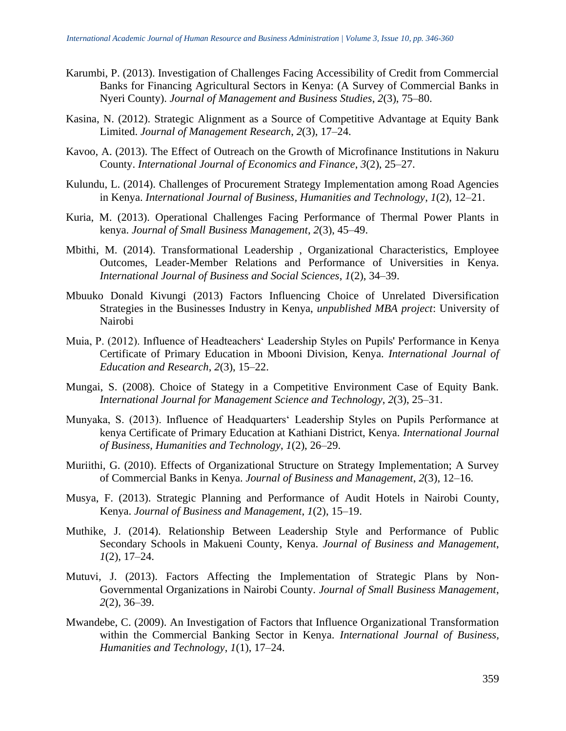- Karumbi, P. (2013). Investigation of Challenges Facing Accessibility of Credit from Commercial Banks for Financing Agricultural Sectors in Kenya: (A Survey of Commercial Banks in Nyeri County). *Journal of Management and Business Studies*, *2*(3), 75–80.
- Kasina, N. (2012). Strategic Alignment as a Source of Competitive Advantage at Equity Bank Limited. *Journal of Management Research*, *2*(3), 17–24.
- Kavoo, A. (2013). The Effect of Outreach on the Growth of Microfinance Institutions in Nakuru County. *International Journal of Economics and Finance*, *3*(2), 25–27.
- Kulundu, L. (2014). Challenges of Procurement Strategy Implementation among Road Agencies in Kenya. *International Journal of Business, Humanities and Technology*, *1*(2), 12–21.
- Kuria, M. (2013). Operational Challenges Facing Performance of Thermal Power Plants in kenya. *Journal of Small Business Management*, *2*(3), 45–49.
- Mbithi, M. (2014). Transformational Leadership , Organizational Characteristics, Employee Outcomes, Leader-Member Relations and Performance of Universities in Kenya. *International Journal of Business and Social Sciences*, *1*(2), 34–39.
- Mbuuko Donald Kivungi (2013) Factors Influencing Choice of Unrelated Diversification Strategies in the Businesses Industry in Kenya, *unpublished MBA project*: University of Nairobi
- Muia, P. (2012). Influence of Headteachers' Leadership Styles on Pupils' Performance in Kenya Certificate of Primary Education in Mbooni Division, Kenya. *International Journal of Education and Research*, *2*(3), 15–22.
- Mungai, S. (2008). Choice of Stategy in a Competitive Environment Case of Equity Bank. *International Journal for Management Science and Technology*, *2*(3), 25–31.
- Munyaka, S. (2013). Influence of Headquarters' Leadership Styles on Pupils Performance at kenya Certificate of Primary Education at Kathiani District, Kenya. *International Journal of Business, Humanities and Technology*, *1*(2), 26–29.
- Muriithi, G. (2010). Effects of Organizational Structure on Strategy Implementation; A Survey of Commercial Banks in Kenya. *Journal of Business and Management*, *2*(3), 12–16.
- Musya, F. (2013). Strategic Planning and Performance of Audit Hotels in Nairobi County, Kenya. *Journal of Business and Management*, *1*(2), 15–19.
- Muthike, J. (2014). Relationship Between Leadership Style and Performance of Public Secondary Schools in Makueni County, Kenya. *Journal of Business and Management*, *1*(2), 17–24.
- Mutuvi, J. (2013). Factors Affecting the Implementation of Strategic Plans by Non-Governmental Organizations in Nairobi County. *Journal of Small Business Management*, *2*(2), 36–39.
- Mwandebe, C. (2009). An Investigation of Factors that Influence Organizational Transformation within the Commercial Banking Sector in Kenya. *International Journal of Business, Humanities and Technology*, *1*(1), 17–24.